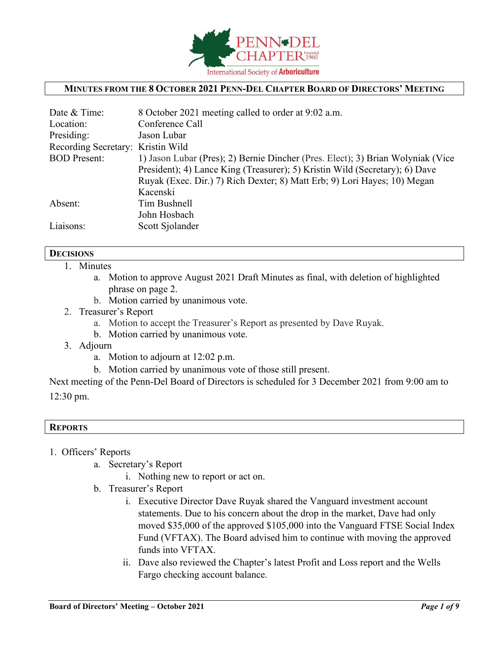

# **MINUTES FROM THE 8 OCTOBER 2021 PENN-DEL CHAPTER BOARD OF DIRECTORS' MEETING**

| Date & Time:                      | 8 October 2021 meeting called to order at 9:02 a.m.                             |
|-----------------------------------|---------------------------------------------------------------------------------|
| Location:                         | Conference Call                                                                 |
| Presiding:                        | Jason Lubar                                                                     |
| Recording Secretary: Kristin Wild |                                                                                 |
| <b>BOD</b> Present:               | 1) Jason Lubar (Pres); 2) Bernie Dincher (Pres. Elect); 3) Brian Wolyniak (Vice |
|                                   | President); 4) Lance King (Treasurer); 5) Kristin Wild (Secretary); 6) Dave     |
|                                   | Ruyak (Exec. Dir.) 7) Rich Dexter; 8) Matt Erb; 9) Lori Hayes; 10) Megan        |
|                                   | Kacenski                                                                        |
| Absent:                           | Tim Bushnell                                                                    |
|                                   | John Hosbach                                                                    |
| Liaisons:                         | Scott Sjolander                                                                 |

# **DECISIONS**

- 1. Minutes
	- a. Motion to approve August 2021 Draft Minutes as final, with deletion of highlighted phrase on page 2.
	- b. Motion carried by unanimous vote.
- 2. Treasurer's Report
	- a. Motion to accept the Treasurer's Report as presented by Dave Ruyak.
	- b. Motion carried by unanimous vote.
- 3. Adjourn
	- a. Motion to adjourn at 12:02 p.m.
	- b. Motion carried by unanimous vote of those still present.

Next meeting of the Penn-Del Board of Directors is scheduled for 3 December 2021 from 9:00 am to 12:30 pm.

#### **REPORTS**

- 1. Officers' Reports
	- a. Secretary's Report
		- i. Nothing new to report or act on.
	- b. Treasurer's Report
		- i. Executive Director Dave Ruyak shared the Vanguard investment account statements. Due to his concern about the drop in the market, Dave had only moved \$35,000 of the approved \$105,000 into the Vanguard FTSE Social Index Fund (VFTAX). The Board advised him to continue with moving the approved funds into VFTAX.
		- ii. Dave also reviewed the Chapter's latest Profit and Loss report and the Wells Fargo checking account balance.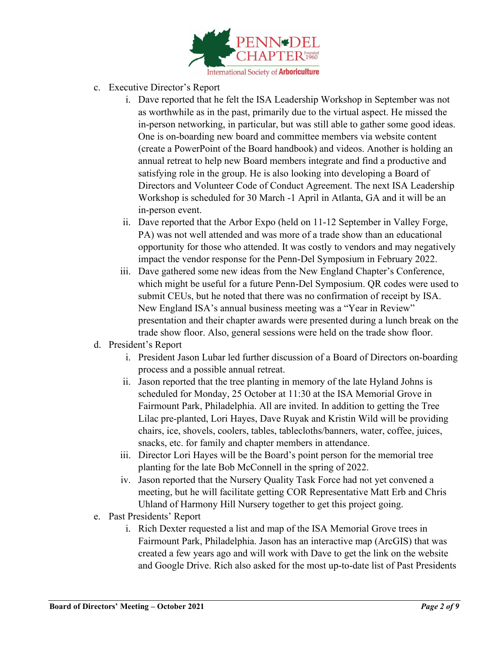

- c. Executive Director's Report
	- i. Dave reported that he felt the ISA Leadership Workshop in September was not as worthwhile as in the past, primarily due to the virtual aspect. He missed the in-person networking, in particular, but was still able to gather some good ideas. One is on-boarding new board and committee members via website content (create a PowerPoint of the Board handbook) and videos. Another is holding an annual retreat to help new Board members integrate and find a productive and satisfying role in the group. He is also looking into developing a Board of Directors and Volunteer Code of Conduct Agreement. The next ISA Leadership Workshop is scheduled for 30 March -1 April in Atlanta, GA and it will be an in-person event.
	- ii. Dave reported that the Arbor Expo (held on 11-12 September in Valley Forge, PA) was not well attended and was more of a trade show than an educational opportunity for those who attended. It was costly to vendors and may negatively impact the vendor response for the Penn-Del Symposium in February 2022.
	- iii. Dave gathered some new ideas from the New England Chapter's Conference, which might be useful for a future Penn-Del Symposium. QR codes were used to submit CEUs, but he noted that there was no confirmation of receipt by ISA. New England ISA's annual business meeting was a "Year in Review" presentation and their chapter awards were presented during a lunch break on the trade show floor. Also, general sessions were held on the trade show floor.
- d. President's Report
	- i. President Jason Lubar led further discussion of a Board of Directors on-boarding process and a possible annual retreat.
	- ii. Jason reported that the tree planting in memory of the late Hyland Johns is scheduled for Monday, 25 October at 11:30 at the ISA Memorial Grove in Fairmount Park, Philadelphia. All are invited. In addition to getting the Tree Lilac pre-planted, Lori Hayes, Dave Ruyak and Kristin Wild will be providing chairs, ice, shovels, coolers, tables, tablecloths/banners, water, coffee, juices, snacks, etc. for family and chapter members in attendance.
	- iii. Director Lori Hayes will be the Board's point person for the memorial tree planting for the late Bob McConnell in the spring of 2022.
	- iv. Jason reported that the Nursery Quality Task Force had not yet convened a meeting, but he will facilitate getting COR Representative Matt Erb and Chris Uhland of Harmony Hill Nursery together to get this project going.
- e. Past Presidents' Report
	- i. Rich Dexter requested a list and map of the ISA Memorial Grove trees in Fairmount Park, Philadelphia. Jason has an interactive map (ArcGIS) that was created a few years ago and will work with Dave to get the link on the website and Google Drive. Rich also asked for the most up-to-date list of Past Presidents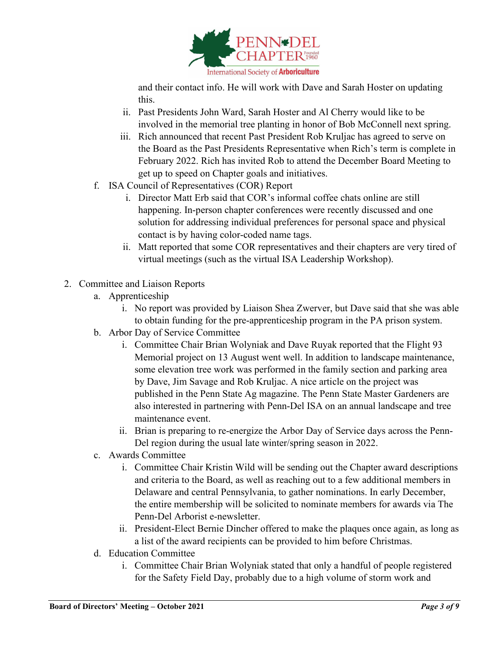

and their contact info. He will work with Dave and Sarah Hoster on updating this.

- ii. Past Presidents John Ward, Sarah Hoster and Al Cherry would like to be involved in the memorial tree planting in honor of Bob McConnell next spring.
- iii. Rich announced that recent Past President Rob Kruljac has agreed to serve on the Board as the Past Presidents Representative when Rich's term is complete in February 2022. Rich has invited Rob to attend the December Board Meeting to get up to speed on Chapter goals and initiatives.
- f. ISA Council of Representatives (COR) Report
	- i. Director Matt Erb said that COR's informal coffee chats online are still happening. In-person chapter conferences were recently discussed and one solution for addressing individual preferences for personal space and physical contact is by having color-coded name tags.
	- ii. Matt reported that some COR representatives and their chapters are very tired of virtual meetings (such as the virtual ISA Leadership Workshop).
- 2. Committee and Liaison Reports
	- a. Apprenticeship
		- i. No report was provided by Liaison Shea Zwerver, but Dave said that she was able to obtain funding for the pre-apprenticeship program in the PA prison system.
	- b. Arbor Day of Service Committee
		- i. Committee Chair Brian Wolyniak and Dave Ruyak reported that the Flight 93 Memorial project on 13 August went well. In addition to landscape maintenance, some elevation tree work was performed in the family section and parking area by Dave, Jim Savage and Rob Kruljac. A nice article on the project was published in the Penn State Ag magazine. The Penn State Master Gardeners are also interested in partnering with Penn-Del ISA on an annual landscape and tree maintenance event.
		- ii. Brian is preparing to re-energize the Arbor Day of Service days across the Penn-Del region during the usual late winter/spring season in 2022.
	- c. Awards Committee
		- i. Committee Chair Kristin Wild will be sending out the Chapter award descriptions and criteria to the Board, as well as reaching out to a few additional members in Delaware and central Pennsylvania, to gather nominations. In early December, the entire membership will be solicited to nominate members for awards via The Penn-Del Arborist e-newsletter.
		- ii. President-Elect Bernie Dincher offered to make the plaques once again, as long as a list of the award recipients can be provided to him before Christmas.
	- d. Education Committee
		- i. Committee Chair Brian Wolyniak stated that only a handful of people registered for the Safety Field Day, probably due to a high volume of storm work and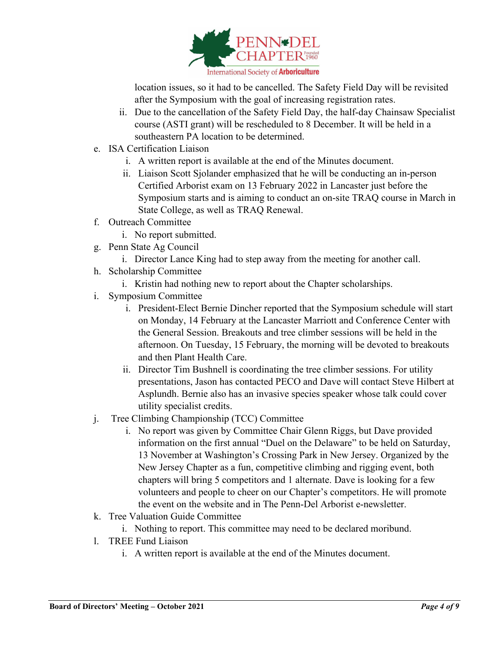

location issues, so it had to be cancelled. The Safety Field Day will be revisited after the Symposium with the goal of increasing registration rates.

- ii. Due to the cancellation of the Safety Field Day, the half-day Chainsaw Specialist course (ASTI grant) will be rescheduled to 8 December. It will be held in a southeastern PA location to be determined.
- e. ISA Certification Liaison
	- i. A written report is available at the end of the Minutes document.
	- ii. Liaison Scott Sjolander emphasized that he will be conducting an in-person Certified Arborist exam on 13 February 2022 in Lancaster just before the Symposium starts and is aiming to conduct an on-site TRAQ course in March in State College, as well as TRAQ Renewal.
- f. Outreach Committee
	- i. No report submitted.
- g. Penn State Ag Council
	- i. Director Lance King had to step away from the meeting for another call.
- h. Scholarship Committee
	- i. Kristin had nothing new to report about the Chapter scholarships.
- i. Symposium Committee
	- i. President-Elect Bernie Dincher reported that the Symposium schedule will start on Monday, 14 February at the Lancaster Marriott and Conference Center with the General Session. Breakouts and tree climber sessions will be held in the afternoon. On Tuesday, 15 February, the morning will be devoted to breakouts and then Plant Health Care.
	- ii. Director Tim Bushnell is coordinating the tree climber sessions. For utility presentations, Jason has contacted PECO and Dave will contact Steve Hilbert at Asplundh. Bernie also has an invasive species speaker whose talk could cover utility specialist credits.
- j. Tree Climbing Championship (TCC) Committee
	- i. No report was given by Committee Chair Glenn Riggs, but Dave provided information on the first annual "Duel on the Delaware" to be held on Saturday, 13 November at Washington's Crossing Park in New Jersey. Organized by the New Jersey Chapter as a fun, competitive climbing and rigging event, both chapters will bring 5 competitors and 1 alternate. Dave is looking for a few volunteers and people to cheer on our Chapter's competitors. He will promote the event on the website and in The Penn-Del Arborist e-newsletter.
- k. Tree Valuation Guide Committee
	- i. Nothing to report. This committee may need to be declared moribund.
- l. TREE Fund Liaison
	- i. A written report is available at the end of the Minutes document.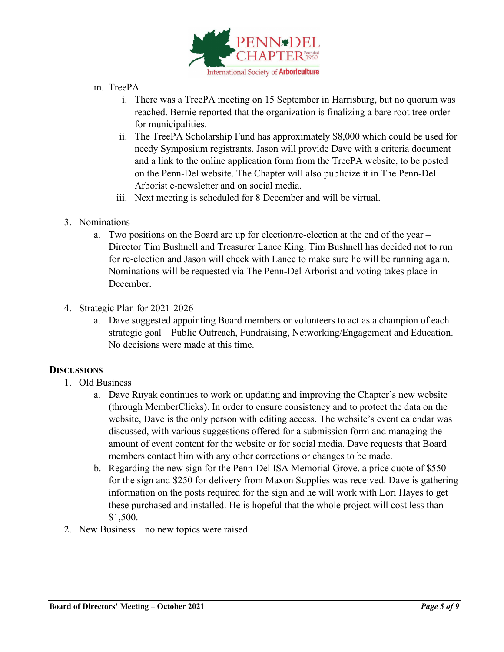

- m. TreePA
	- i. There was a TreePA meeting on 15 September in Harrisburg, but no quorum was reached. Bernie reported that the organization is finalizing a bare root tree order for municipalities.
	- ii. The TreePA Scholarship Fund has approximately \$8,000 which could be used for needy Symposium registrants. Jason will provide Dave with a criteria document and a link to the online application form from the TreePA website, to be posted on the Penn-Del website. The Chapter will also publicize it in The Penn-Del Arborist e-newsletter and on social media.
	- iii. Next meeting is scheduled for 8 December and will be virtual.
- 3. Nominations
	- a. Two positions on the Board are up for election/re-election at the end of the year Director Tim Bushnell and Treasurer Lance King. Tim Bushnell has decided not to run for re-election and Jason will check with Lance to make sure he will be running again. Nominations will be requested via The Penn-Del Arborist and voting takes place in December.
- 4. Strategic Plan for 2021-2026
	- a. Dave suggested appointing Board members or volunteers to act as a champion of each strategic goal – Public Outreach, Fundraising, Networking/Engagement and Education. No decisions were made at this time.

# **DISCUSSIONS**

- 1. Old Business
	- a. Dave Ruyak continues to work on updating and improving the Chapter's new website (through MemberClicks). In order to ensure consistency and to protect the data on the website, Dave is the only person with editing access. The website's event calendar was discussed, with various suggestions offered for a submission form and managing the amount of event content for the website or for social media. Dave requests that Board members contact him with any other corrections or changes to be made.
	- b. Regarding the new sign for the Penn-Del ISA Memorial Grove, a price quote of \$550 for the sign and \$250 for delivery from Maxon Supplies was received. Dave is gathering information on the posts required for the sign and he will work with Lori Hayes to get these purchased and installed. He is hopeful that the whole project will cost less than \$1,500.
- 2. New Business no new topics were raised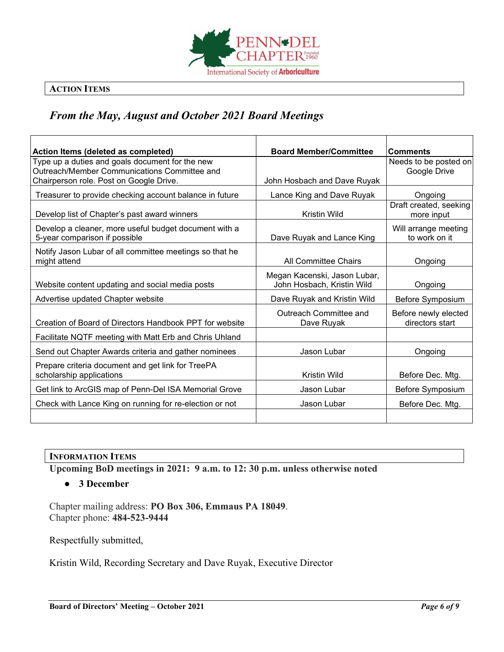

# **ACTION ITEMS**

# *From the May, August and October 2021 Board Meetings*

| Action Items (deleted as completed)                                                                                                        | <b>Board Member/Committee</b>                              | <b>Comments</b>                         |  |
|--------------------------------------------------------------------------------------------------------------------------------------------|------------------------------------------------------------|-----------------------------------------|--|
| Type up a duties and goals document for the new<br>Outreach/Member Communications Committee and<br>Chairperson role. Post on Google Drive. | John Hosbach and Dave Ruyak                                | Needs to be posted on<br>Google Drive   |  |
| Treasurer to provide checking account balance in future                                                                                    | Lance King and Dave Ruyak                                  | Ongoing                                 |  |
| Develop list of Chapter's past award winners                                                                                               | Kristin Wild                                               | Draft created, seeking<br>more input    |  |
| Develop a cleaner, more useful budget document with a<br>5-year comparison if possible                                                     | Dave Ruyak and Lance King                                  | Will arrange meeting<br>to work on it   |  |
| Notify Jason Lubar of all committee meetings so that he<br>might attend                                                                    | <b>All Committee Chairs</b>                                | Ongoing                                 |  |
| Website content updating and social media posts                                                                                            | Megan Kacenski, Jason Lubar,<br>John Hosbach, Kristin Wild | Ongoing                                 |  |
| Advertise updated Chapter website                                                                                                          | Dave Ruyak and Kristin Wild                                | Before Symposium                        |  |
| Creation of Board of Directors Handbook PPT for website                                                                                    | Outreach Committee and<br>Dave Ruyak                       | Before newly elected<br>directors start |  |
| Facilitate NQTF meeting with Matt Erb and Chris Uhland                                                                                     |                                                            |                                         |  |
| Send out Chapter Awards criteria and gather nominees                                                                                       | Jason Lubar                                                | Ongoing                                 |  |
| Prepare criteria document and get link for TreePA<br>scholarship applications                                                              | Kristin Wild                                               | Before Dec. Mtg.                        |  |
| Get link to ArcGIS map of Penn-Del ISA Memorial Grove                                                                                      | Jason Lubar                                                | Before Symposium                        |  |
| Check with Lance King on running for re-election or not                                                                                    | Jason Lubar                                                | Before Dec. Mtg.                        |  |

#### **INFORMATION ITEMS**

**Upcoming BoD meetings in 2021: 9 a.m. to 12: 30 p.m. unless otherwise noted**

# ● **3 December**

Chapter mailing address: **PO Box 306, Emmaus PA 18049**. Chapter phone: **484-523-9444**

Respectfully submitted,

Kristin Wild, Recording Secretary and Dave Ruyak, Executive Director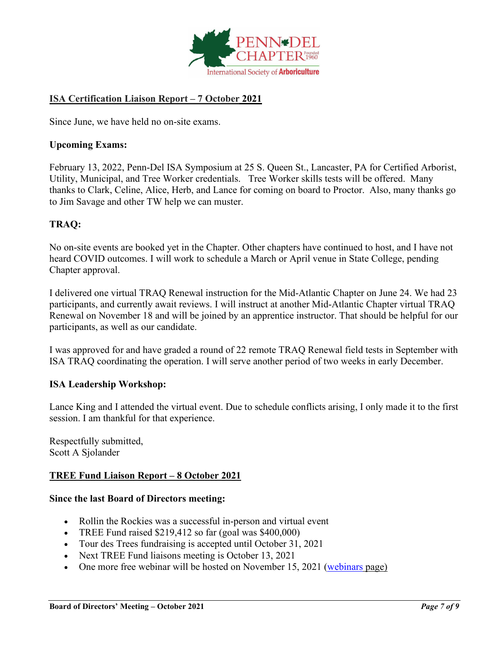

# **ISA Certification Liaison Report – 7 October 2021**

Since June, we have held no on-site exams.

# **Upcoming Exams:**

February 13, 2022, Penn-Del ISA Symposium at 25 S. Queen St., Lancaster, PA for Certified Arborist, Utility, Municipal, and Tree Worker credentials. Tree Worker skills tests will be offered. Many thanks to Clark, Celine, Alice, Herb, and Lance for coming on board to Proctor. Also, many thanks go to Jim Savage and other TW help we can muster.

# **TRAQ:**

No on-site events are booked yet in the Chapter. Other chapters have continued to host, and I have not heard COVID outcomes. I will work to schedule a March or April venue in State College, pending Chapter approval.

I delivered one virtual TRAQ Renewal instruction for the Mid-Atlantic Chapter on June 24. We had 23 participants, and currently await reviews. I will instruct at another Mid-Atlantic Chapter virtual TRAQ Renewal on November 18 and will be joined by an apprentice instructor. That should be helpful for our participants, as well as our candidate.

I was approved for and have graded a round of 22 remote TRAQ Renewal field tests in September with ISA TRAQ coordinating the operation. I will serve another period of two weeks in early December.

# **ISA Leadership Workshop:**

Lance King and I attended the virtual event. Due to schedule conflicts arising, I only made it to the first session. I am thankful for that experience.

Respectfully submitted, Scott A Sjolander

# **TREE Fund Liaison Report – 8 October 2021**

# **Since the last Board of Directors meeting:**

- Rollin the Rockies was a successful in-person and virtual event
- TREE Fund raised  $$219,412$  so far (goal was  $$400,000$ )
- Tour des Trees fundraising is accepted until October 31, 2021
- Next TREE Fund liaisons meeting is October 13, 2021
- One more free webinar will be hosted on November 15, 2021 [\(webinars](https://www.treefund.org/webinars) page)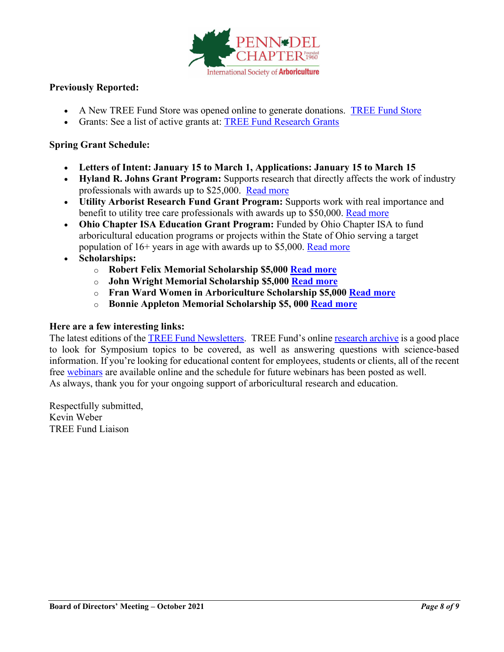

# **Previously Reported:**

- A New TREE Fund Store was opened online to generate donations. [TREE Fund Store](https://treefund-299483.square.site/)
- Grants: See a list of active grants at: [TREE Fund Research Grants](https://treefund.org/researchgrants)

# **Spring Grant Schedule:**

- **Letters of Intent: January 15 to March 1, Applications: January 15 to March 15**
- **Hyland R. Johns Grant Program:** Supports research that directly affects the work of industry professionals with awards up to \$25,000. [Read more](https://treefund.org/researchgrants/johns)
- **Utility Arborist Research Fund Grant Program:** Supports work with real importance and benefit to utility tree care professionals with awards up to \$50,000. [Read more](https://treefund.org/researchgrants/uarf)
- **Ohio Chapter ISA Education Grant Program:** Funded by Ohio Chapter ISA to fund arboricultural education programs or projects within the State of Ohio serving a target population of 16+ years in age with awards up to \$5,000. [Read more](https://treefund.org/educationgrants/ohio)
- **Scholarships:**
	- o **Robert Felix Memorial Scholarship \$5,000 [Read more](https://treefund.org/scholarships/felix)**
	- o **John Wright Memorial Scholarship \$5,000 [Read more](https://treefund.org/scholarships/wright)**
	- o **Fran Ward Women in Arboriculture Scholarship \$5,000 [Read more](https://treefund.org/scholarships/ward)**
	- o **Bonnie Appleton Memorial Scholarship \$5, 000 [Read more](https://treefund.org/scholarships/appleton)**

#### **Here are a few interesting links:**

The latest editions of the [TREE Fund Newsletters.](https://treefund.org/newsletter) TREE Fund's online [research archive](https://www.treefund.org/researcharchive) is a good place to look for Symposium topics to be covered, as well as answering questions with science-based information. If you're looking for educational content for employees, students or clients, all of the recent free [webinars](https://www.treefund.org/webinars) are available online and the schedule for future webinars has been posted as well. As always, thank you for your ongoing support of arboricultural research and education.

Respectfully submitted, Kevin Weber TREE Fund Liaison